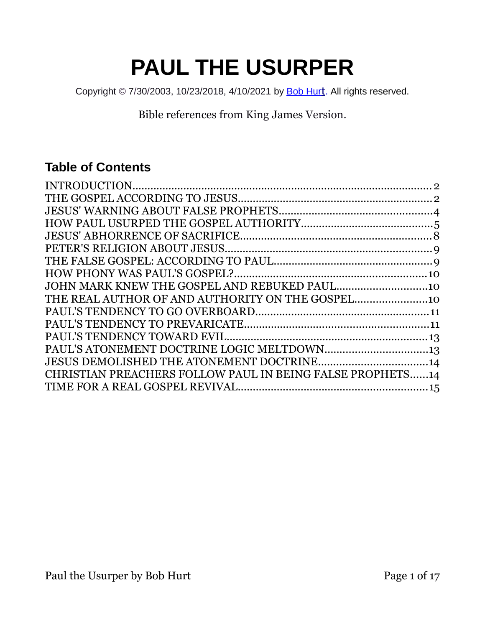# **PAUL THE USURPER**

Copyright © 7/30/2003, 10/23/2018, 4/10/2021 by [Bob Hur](https://bobhurt.com/)[t](https://bobhurt.com/). All rights reserved.

Bible references from King James Version.

#### **Table of Contents**

| CHRISTIAN PREACHERS FOLLOW PAUL IN BEING FALSE PROPHETS14 |  |
|-----------------------------------------------------------|--|
|                                                           |  |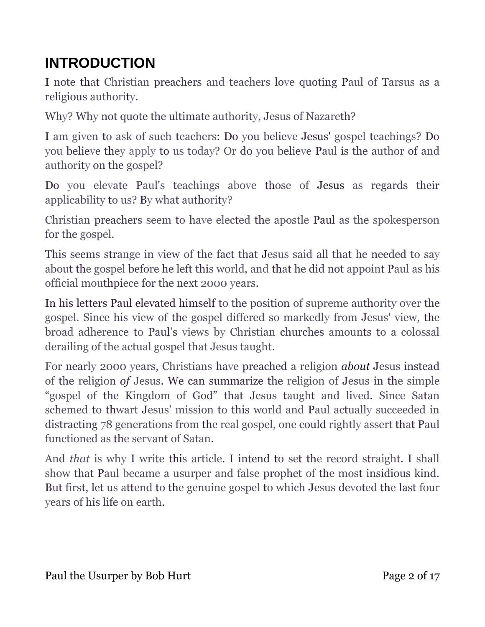## <span id="page-1-0"></span>**INTRODUCTION**

I note that Christian preachers and teachers love quoting Paul of Tarsus as a religious authority.

Why? Why not quote the ultimate authority, Jesus of Nazareth?

I am given to ask of such teachers: Do you believe Jesus' gospel teachings? Do you believe they apply to us today? Or do you believe Paul is the author of and authority on the gospel?

Do you elevate Paul's teachings above those of Jesus as regards their applicability to us? By what authority?

Christian preachers seem to have elected the apostle Paul as the spokesperson for the gospel.

This seems strange in view of the fact that Jesus said all that he needed to say about the gospel before he left this world, and that he did not appoint Paul as his official mouthpiece for the next 2000 years.

In his letters Paul elevated himself to the position of supreme authority over the gospel. Since his view of the gospel differed so markedly from Jesus' view, the broad adherence to Paul's views by Christian churches amounts to a colossal derailing of the actual gospel that Jesus taught.

For nearly 2000 years, Christians have preached a religion *about* Jesus instead of the religion *of* Jesus. We can summarize the religion of Jesus in the simple "gospel of the Kingdom of God" that Jesus taught and lived. Since Satan schemed to thwart Jesus' mission to this world and Paul actually succeeded in distracting 78 generations from the real gospel, one could rightly assert that Paul functioned as the servant of Satan.

And *that* is why I write this article. I intend to set the record straight. I shall show that Paul became a usurper and false prophet of the most insidious kind. But first, let us attend to the genuine gospel to which Jesus devoted the last four years of his life on earth.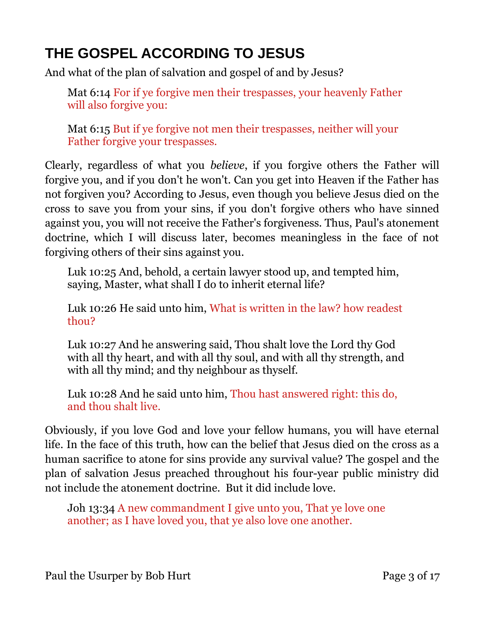## <span id="page-2-0"></span>**THE GOSPEL ACCORDING TO JESUS**

And what of the plan of salvation and gospel of and by Jesus?

Mat 6:14 For if ye forgive men their trespasses, your heavenly Father will also forgive you:

Mat 6:15 But if ye forgive not men their trespasses, neither will your Father forgive your trespasses.

Clearly, regardless of what you *believe*, if you forgive others the Father will forgive you, and if you don't he won't. Can you get into Heaven if the Father has not forgiven you? According to Jesus, even though you believe Jesus died on the cross to save you from your sins, if you don't forgive others who have sinned against you, you will not receive the Father's forgiveness. Thus, Paul's atonement doctrine, which I will discuss later, becomes meaningless in the face of not forgiving others of their sins against you.

Luk 10:25 And, behold, a certain lawyer stood up, and tempted him, saying, Master, what shall I do to inherit eternal life?

Luk 10:26 He said unto him, What is written in the law? how readest thou?

Luk 10:27 And he answering said, Thou shalt love the Lord thy God with all thy heart, and with all thy soul, and with all thy strength, and with all thy mind; and thy neighbour as thyself.

Luk 10:28 And he said unto him, Thou hast answered right: this do, and thou shalt live.

Obviously, if you love God and love your fellow humans, you will have eternal life. In the face of this truth, how can the belief that Jesus died on the cross as a human sacrifice to atone for sins provide any survival value? The gospel and the plan of salvation Jesus preached throughout his four-year public ministry did not include the atonement doctrine. But it did include love.

Joh 13:34 A new commandment I give unto you, That ye love one another; as I have loved you, that ye also love one another.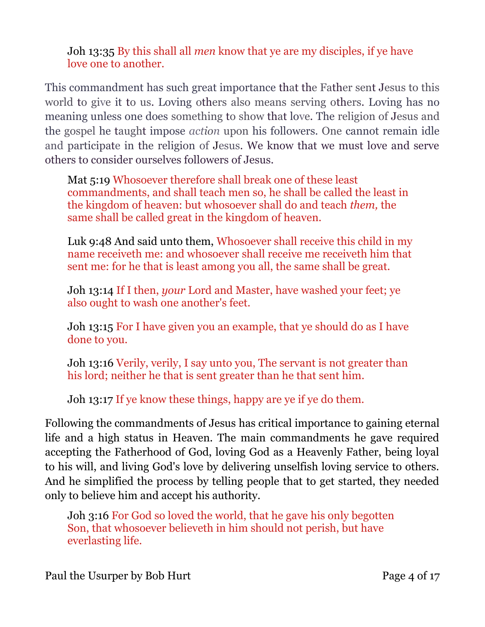Joh 13:35 By this shall all *men* know that ye are my disciples, if ye have love one to another.

This commandment has such great importance that the Father sent Jesus to this world to give it to us. Loving others also means serving others. Loving has no meaning unless one does something to show that love. The religion of Jesus and the gospel he taught impose *action* upon his followers. One cannot remain idle and participate in the religion of Jesus. We know that we must love and serve others to consider ourselves followers of Jesus.

Mat 5:19 Whosoever therefore shall break one of these least commandments, and shall teach men so, he shall be called the least in the kingdom of heaven: but whosoever shall do and teach *them,* the same shall be called great in the kingdom of heaven.

Luk 9:48 And said unto them, Whosoever shall receive this child in my name receiveth me: and whosoever shall receive me receiveth him that sent me: for he that is least among you all, the same shall be great.

Joh 13:14 If I then, *your* Lord and Master, have washed your feet; ye also ought to wash one another's feet.

Joh 13:15 For I have given you an example, that ye should do as I have done to you.

Joh 13:16 Verily, verily, I say unto you, The servant is not greater than his lord; neither he that is sent greater than he that sent him.

Joh 13:17 If ye know these things, happy are ye if ye do them.

Following the commandments of Jesus has critical importance to gaining eternal life and a high status in Heaven. The main commandments he gave required accepting the Fatherhood of God, loving God as a Heavenly Father, being loyal to his will, and living God's love by delivering unselfish loving service to others. And he simplified the process by telling people that to get started, they needed only to believe him and accept his authority.

Joh 3:16 For God so loved the world, that he gave his only begotten Son, that whosoever believeth in him should not perish, but have everlasting life.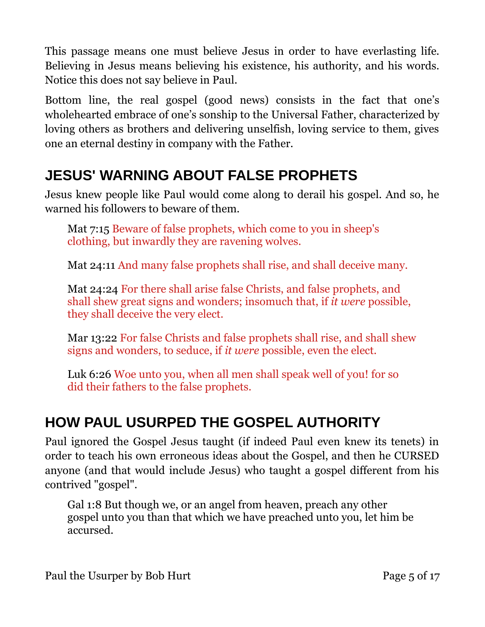This passage means one must believe Jesus in order to have everlasting life. Believing in Jesus means believing his existence, his authority, and his words. Notice this does not say believe in Paul.

Bottom line, the real gospel (good news) consists in the fact that one's wholehearted embrace of one's sonship to the Universal Father, characterized by loving others as brothers and delivering unselfish, loving service to them, gives one an eternal destiny in company with the Father.

## <span id="page-4-1"></span>**JESUS' WARNING ABOUT FALSE PROPHETS**

Jesus knew people like Paul would come along to derail his gospel. And so, he warned his followers to beware of them.

Mat 7:15 Beware of false prophets, which come to you in sheep's clothing, but inwardly they are ravening wolves.

Mat 24:11 And many false prophets shall rise, and shall deceive many.

Mat 24:24 For there shall arise false Christs, and false prophets, and shall shew great signs and wonders; insomuch that, if *it were* possible, they shall deceive the very elect.

Mar 13:22 For false Christs and false prophets shall rise, and shall shew signs and wonders, to seduce, if *it were* possible, even the elect.

Luk 6:26 Woe unto you, when all men shall speak well of you! for so did their fathers to the false prophets.

## <span id="page-4-0"></span>**HOW PAUL USURPED THE GOSPEL AUTHORITY**

Paul ignored the Gospel Jesus taught (if indeed Paul even knew its tenets) in order to teach his own erroneous ideas about the Gospel, and then he CURSED anyone (and that would include Jesus) who taught a gospel different from his contrived "gospel".

Gal 1:8 But though we, or an angel from heaven, preach any other gospel unto you than that which we have preached unto you, let him be accursed.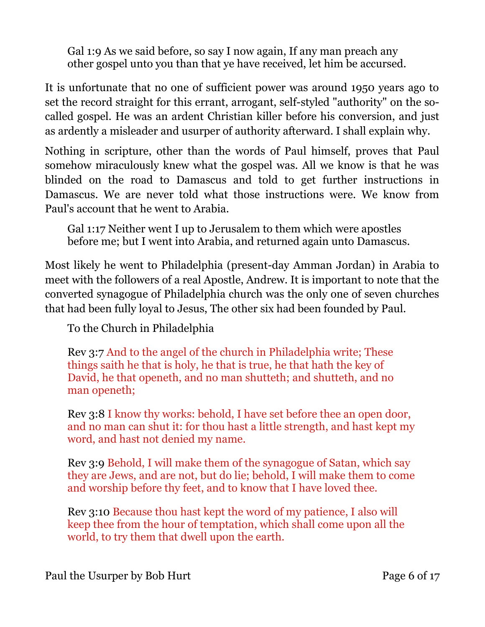Gal 1:9 As we said before, so say I now again, If any man preach any other gospel unto you than that ye have received, let him be accursed.

It is unfortunate that no one of sufficient power was around 1950 years ago to set the record straight for this errant, arrogant, self-styled "authority" on the socalled gospel. He was an ardent Christian killer before his conversion, and just as ardently a misleader and usurper of authority afterward. I shall explain why.

Nothing in scripture, other than the words of Paul himself, proves that Paul somehow miraculously knew what the gospel was. All we know is that he was blinded on the road to Damascus and told to get further instructions in Damascus. We are never told what those instructions were. We know from Paul's account that he went to Arabia.

Gal 1:17 Neither went I up to Jerusalem to them which were apostles before me; but I went into Arabia, and returned again unto Damascus.

Most likely he went to Philadelphia (present-day Amman Jordan) in Arabia to meet with the followers of a real Apostle, Andrew. It is important to note that the converted synagogue of Philadelphia church was the only one of seven churches that had been fully loyal to Jesus, The other six had been founded by Paul.

To the Church in Philadelphia

Rev 3:7 And to the angel of the church in Philadelphia write; These things saith he that is holy, he that is true, he that hath the key of David, he that openeth, and no man shutteth; and shutteth, and no man openeth;

Rev 3:8 I know thy works: behold, I have set before thee an open door, and no man can shut it: for thou hast a little strength, and hast kept my word, and hast not denied my name.

Rev 3:9 Behold, I will make them of the synagogue of Satan, which say they are Jews, and are not, but do lie; behold, I will make them to come and worship before thy feet, and to know that I have loved thee.

Rev 3:10 Because thou hast kept the word of my patience, I also will keep thee from the hour of temptation, which shall come upon all the world, to try them that dwell upon the earth.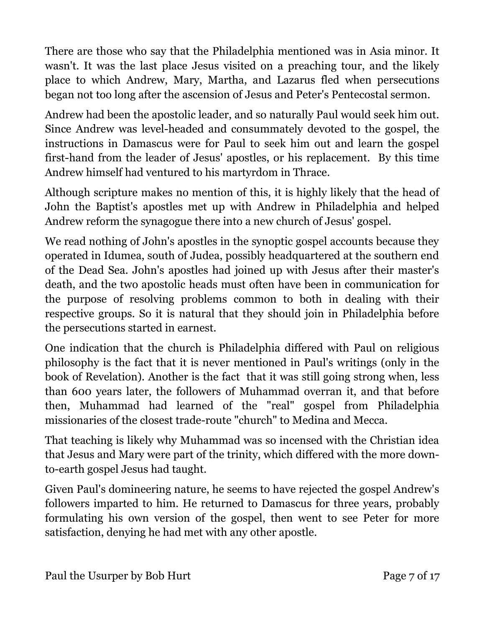There are those who say that the Philadelphia mentioned was in Asia minor. It wasn't. It was the last place Jesus visited on a preaching tour, and the likely place to which Andrew, Mary, Martha, and Lazarus fled when persecutions began not too long after the ascension of Jesus and Peter's Pentecostal sermon.

Andrew had been the apostolic leader, and so naturally Paul would seek him out. Since Andrew was level-headed and consummately devoted to the gospel, the instructions in Damascus were for Paul to seek him out and learn the gospel first-hand from the leader of Jesus' apostles, or his replacement. By this time Andrew himself had ventured to his martyrdom in Thrace.

Although scripture makes no mention of this, it is highly likely that the head of John the Baptist's apostles met up with Andrew in Philadelphia and helped Andrew reform the synagogue there into a new church of Jesus' gospel.

We read nothing of John's apostles in the synoptic gospel accounts because they operated in Idumea, south of Judea, possibly headquartered at the southern end of the Dead Sea. John's apostles had joined up with Jesus after their master's death, and the two apostolic heads must often have been in communication for the purpose of resolving problems common to both in dealing with their respective groups. So it is natural that they should join in Philadelphia before the persecutions started in earnest.

One indication that the church is Philadelphia differed with Paul on religious philosophy is the fact that it is never mentioned in Paul's writings (only in the book of Revelation). Another is the fact that it was still going strong when, less than 600 years later, the followers of Muhammad overran it, and that before then, Muhammad had learned of the "real" gospel from Philadelphia missionaries of the closest trade-route "church" to Medina and Mecca.

That teaching is likely why Muhammad was so incensed with the Christian idea that Jesus and Mary were part of the trinity, which differed with the more downto-earth gospel Jesus had taught.

Given Paul's domineering nature, he seems to have rejected the gospel Andrew's followers imparted to him. He returned to Damascus for three years, probably formulating his own version of the gospel, then went to see Peter for more satisfaction, denying he had met with any other apostle.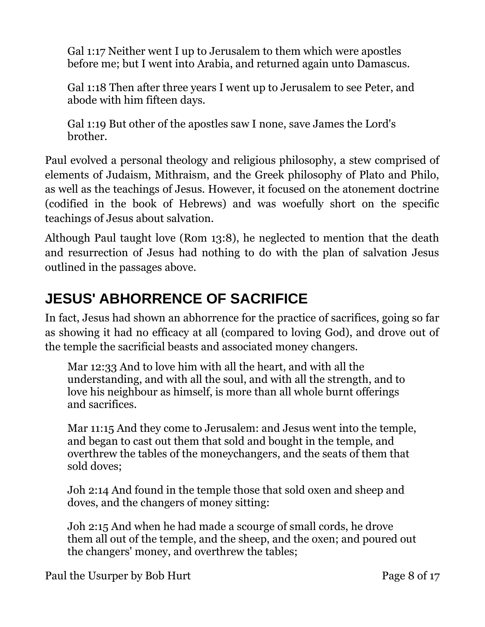Gal 1:17 Neither went I up to Jerusalem to them which were apostles before me; but I went into Arabia, and returned again unto Damascus.

Gal 1:18 Then after three years I went up to Jerusalem to see Peter, and abode with him fifteen days.

Gal 1:19 But other of the apostles saw I none, save James the Lord's brother.

Paul evolved a personal theology and religious philosophy, a stew comprised of elements of Judaism, Mithraism, and the Greek philosophy of Plato and Philo, as well as the teachings of Jesus. However, it focused on the atonement doctrine (codified in the book of Hebrews) and was woefully short on the specific teachings of Jesus about salvation.

Although Paul taught love (Rom 13:8), he neglected to mention that the death and resurrection of Jesus had nothing to do with the plan of salvation Jesus outlined in the passages above.

# <span id="page-7-0"></span>**JESUS' ABHORRENCE OF SACRIFICE**

In fact, Jesus had shown an abhorrence for the practice of sacrifices, going so far as showing it had no efficacy at all (compared to loving God), and drove out of the temple the sacrificial beasts and associated money changers.

Mar 12:33 And to love him with all the heart, and with all the understanding, and with all the soul, and with all the strength, and to love his neighbour as himself, is more than all whole burnt offerings and sacrifices.

Mar 11:15 And they come to Jerusalem: and Jesus went into the temple, and began to cast out them that sold and bought in the temple, and overthrew the tables of the moneychangers, and the seats of them that sold doves;

Joh 2:14 And found in the temple those that sold oxen and sheep and doves, and the changers of money sitting:

Joh 2:15 And when he had made a scourge of small cords, he drove them all out of the temple, and the sheep, and the oxen; and poured out the changers' money, and overthrew the tables;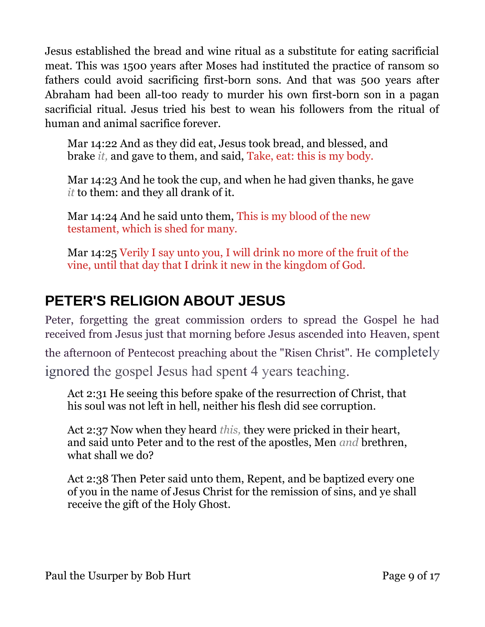Jesus established the bread and wine ritual as a substitute for eating sacrificial meat. This was 1500 years after Moses had instituted the practice of ransom so fathers could avoid sacrificing first-born sons. And that was 500 years after Abraham had been all-too ready to murder his own first-born son in a pagan sacrificial ritual. Jesus tried his best to wean his followers from the ritual of human and animal sacrifice forever.

Mar 14:22 And as they did eat, Jesus took bread, and blessed, and brake *it,* and gave to them, and said, Take, eat: this is my body.

Mar 14:23 And he took the cup, and when he had given thanks, he gave *it* to them: and they all drank of it.

Mar 14:24 And he said unto them, This is my blood of the new testament, which is shed for many.

Mar 14:25 Verily I say unto you, I will drink no more of the fruit of the vine, until that day that I drink it new in the kingdom of God.

## <span id="page-8-0"></span>**PETER'S RELIGION ABOUT JESUS**

Peter, forgetting the great commission orders to spread the Gospel he had received from Jesus just that morning before Jesus ascended into Heaven, spent

the afternoon of Pentecost preaching about the "Risen Christ". He completely

ignored the gospel Jesus had spent 4 years teaching.

Act 2:31 He seeing this before spake of the resurrection of Christ, that his soul was not left in hell, neither his flesh did see corruption.

Act 2:37 Now when they heard *this,* they were pricked in their heart, and said unto Peter and to the rest of the apostles, Men *and* brethren, what shall we do?

Act 2:38 Then Peter said unto them, Repent, and be baptized every one of you in the name of Jesus Christ for the remission of sins, and ye shall receive the gift of the Holy Ghost.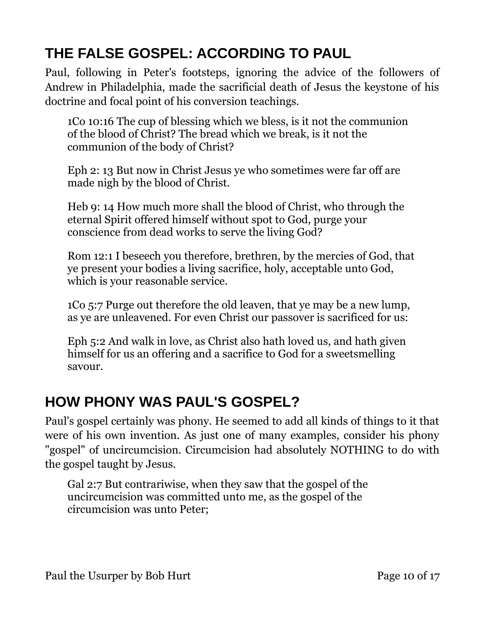# <span id="page-9-1"></span>**THE FALSE GOSPEL: ACCORDING TO PAUL**

Paul, following in Peter's footsteps, ignoring the advice of the followers of Andrew in Philadelphia, made the sacrificial death of Jesus the keystone of his doctrine and focal point of his conversion teachings.

1Co 10:16 The cup of blessing which we bless, is it not the communion of the blood of Christ? The bread which we break, is it not the communion of the body of Christ?

Eph 2: 13 But now in Christ Jesus ye who sometimes were far off are made nigh by the blood of Christ.

Heb 9: 14 How much more shall the blood of Christ, who through the eternal Spirit offered himself without spot to God, purge your conscience from dead works to serve the living God?

Rom 12:1 I beseech you therefore, brethren, by the mercies of God, that ye present your bodies a living sacrifice, holy, acceptable unto God, which is your reasonable service.

1Co 5:7 Purge out therefore the old leaven, that ye may be a new lump, as ye are unleavened. For even Christ our passover is sacrificed for us:

Eph 5:2 And walk in love, as Christ also hath loved us, and hath given himself for us an offering and a sacrifice to God for a sweetsmelling savour.

#### <span id="page-9-0"></span>**HOW PHONY WAS PAUL'S GOSPEL?**

Paul's gospel certainly was phony. He seemed to add all kinds of things to it that were of his own invention. As just one of many examples, consider his phony "gospel" of uncircumcision. Circumcision had absolutely NOTHING to do with the gospel taught by Jesus.

Gal 2:7 But contrariwise, when they saw that the gospel of the uncircumcision was committed unto me, as the gospel of the circumcision was unto Peter;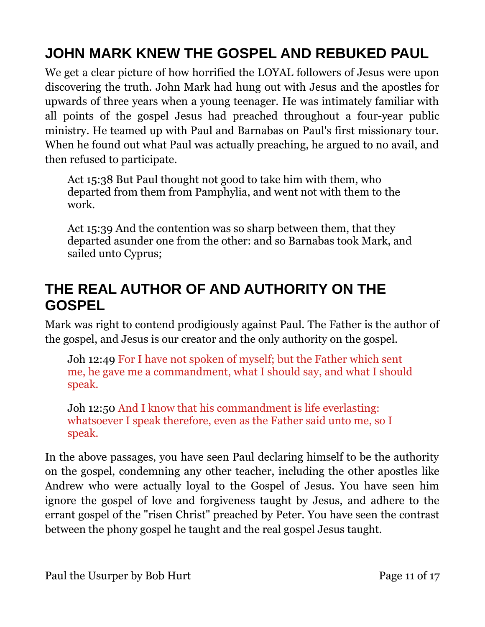# <span id="page-10-1"></span>**JOHN MARK KNEW THE GOSPEL AND REBUKED PAUL**

We get a clear picture of how horrified the LOYAL followers of Jesus were upon discovering the truth. John Mark had hung out with Jesus and the apostles for upwards of three years when a young teenager. He was intimately familiar with all points of the gospel Jesus had preached throughout a four-year public ministry. He teamed up with Paul and Barnabas on Paul's first missionary tour. When he found out what Paul was actually preaching, he argued to no avail, and then refused to participate.

Act 15:38 But Paul thought not good to take him with them, who departed from them from Pamphylia, and went not with them to the work.

Act 15:39 And the contention was so sharp between them, that they departed asunder one from the other: and so Barnabas took Mark, and sailed unto Cyprus;

#### <span id="page-10-0"></span>**THE REAL AUTHOR OF AND AUTHORITY ON THE GOSPEL**

Mark was right to contend prodigiously against Paul. The Father is the author of the gospel, and Jesus is our creator and the only authority on the gospel.

Joh 12:49 For I have not spoken of myself; but the Father which sent me, he gave me a commandment, what I should say, and what I should speak.

Joh 12:50 And I know that his commandment is life everlasting: whatsoever I speak therefore, even as the Father said unto me, so I speak.

In the above passages, you have seen Paul declaring himself to be the authority on the gospel, condemning any other teacher, including the other apostles like Andrew who were actually loyal to the Gospel of Jesus. You have seen him ignore the gospel of love and forgiveness taught by Jesus, and adhere to the errant gospel of the "risen Christ" preached by Peter. You have seen the contrast between the phony gospel he taught and the real gospel Jesus taught.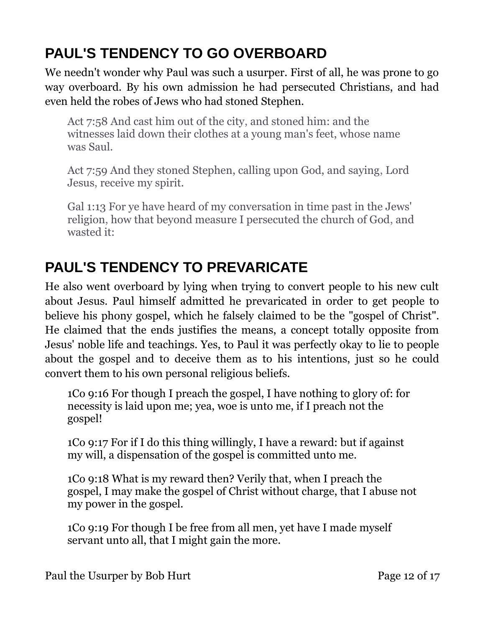# <span id="page-11-1"></span>**PAUL'S TENDENCY TO GO OVERBOARD**

We needn't wonder why Paul was such a usurper. First of all, he was prone to go way overboard. By his own admission he had persecuted Christians, and had even held the robes of Jews who had stoned Stephen.

Act 7:58 And cast him out of the city, and stoned him: and the witnesses laid down their clothes at a young man's feet, whose name was Saul.

Act 7:59 And they stoned Stephen, calling upon God, and saying, Lord Jesus, receive my spirit.

Gal 1:13 For ye have heard of my conversation in time past in the Jews' religion, how that beyond measure I persecuted the church of God, and wasted it:

## <span id="page-11-0"></span>**PAUL'S TENDENCY TO PREVARICATE**

He also went overboard by lying when trying to convert people to his new cult about Jesus. Paul himself admitted he prevaricated in order to get people to believe his phony gospel, which he falsely claimed to be the "gospel of Christ". He claimed that the ends justifies the means, a concept totally opposite from Jesus' noble life and teachings. Yes, to Paul it was perfectly okay to lie to people about the gospel and to deceive them as to his intentions, just so he could convert them to his own personal religious beliefs.

1Co 9:16 For though I preach the gospel, I have nothing to glory of: for necessity is laid upon me; yea, woe is unto me, if I preach not the gospel!

1Co 9:17 For if I do this thing willingly, I have a reward: but if against my will, a dispensation of the gospel is committed unto me.

1Co 9:18 What is my reward then? Verily that, when I preach the gospel, I may make the gospel of Christ without charge, that I abuse not my power in the gospel.

1Co 9:19 For though I be free from all men, yet have I made myself servant unto all, that I might gain the more.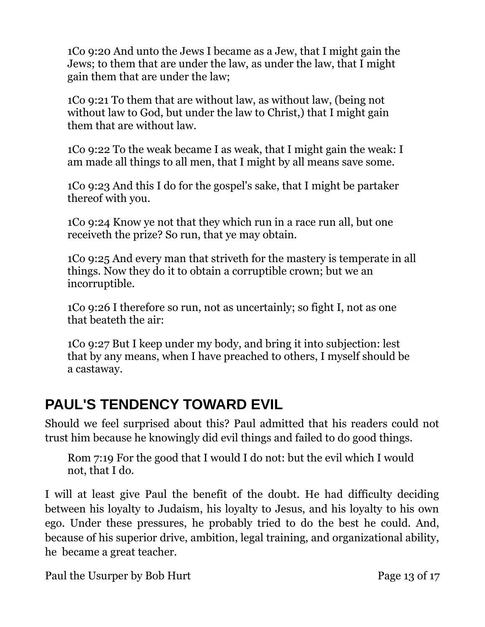1Co 9:20 And unto the Jews I became as a Jew, that I might gain the Jews; to them that are under the law, as under the law, that I might gain them that are under the law;

1Co 9:21 To them that are without law, as without law, (being not without law to God, but under the law to Christ,) that I might gain them that are without law.

1Co 9:22 To the weak became I as weak, that I might gain the weak: I am made all things to all men, that I might by all means save some.

1Co 9:23 And this I do for the gospel's sake, that I might be partaker thereof with you.

1Co 9:24 Know ye not that they which run in a race run all, but one receiveth the prize? So run, that ye may obtain.

1Co 9:25 And every man that striveth for the mastery is temperate in all things. Now they do it to obtain a corruptible crown; but we an incorruptible.

1Co 9:26 I therefore so run, not as uncertainly; so fight I, not as one that beateth the air:

1Co 9:27 But I keep under my body, and bring it into subjection: lest that by any means, when I have preached to others, I myself should be a castaway.

#### <span id="page-12-0"></span>**PAUL'S TENDENCY TOWARD EVIL**

Should we feel surprised about this? Paul admitted that his readers could not trust him because he knowingly did evil things and failed to do good things.

Rom 7:19 For the good that I would I do not: but the evil which I would not, that I do.

I will at least give Paul the benefit of the doubt. He had difficulty deciding between his loyalty to Judaism, his loyalty to Jesus, and his loyalty to his own ego. Under these pressures, he probably tried to do the best he could. And, because of his superior drive, ambition, legal training, and organizational ability, he became a great teacher.

Paul the Usurper by Bob Hurt Page 13 of 17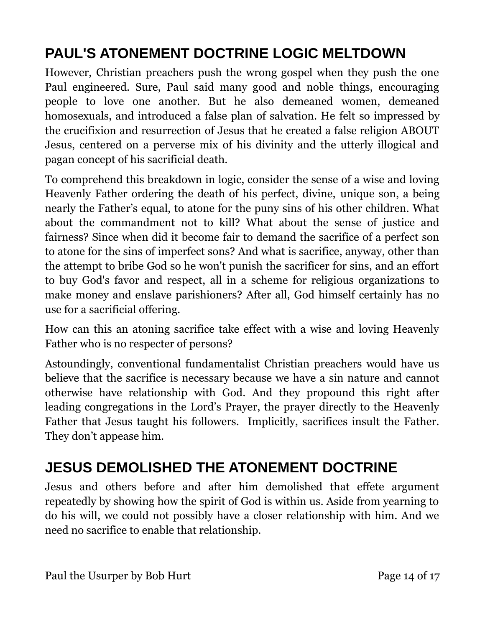# <span id="page-13-1"></span>**PAUL'S ATONEMENT DOCTRINE LOGIC MELTDOWN**

However, Christian preachers push the wrong gospel when they push the one Paul engineered. Sure, Paul said many good and noble things, encouraging people to love one another. But he also demeaned women, demeaned homosexuals, and introduced a false plan of salvation. He felt so impressed by the crucifixion and resurrection of Jesus that he created a false religion ABOUT Jesus, centered on a perverse mix of his divinity and the utterly illogical and pagan concept of his sacrificial death.

To comprehend this breakdown in logic, consider the sense of a wise and loving Heavenly Father ordering the death of his perfect, divine, unique son, a being nearly the Father's equal, to atone for the puny sins of his other children. What about the commandment not to kill? What about the sense of justice and fairness? Since when did it become fair to demand the sacrifice of a perfect son to atone for the sins of imperfect sons? And what is sacrifice, anyway, other than the attempt to bribe God so he won't punish the sacrificer for sins, and an effort to buy God's favor and respect, all in a scheme for religious organizations to make money and enslave parishioners? After all, God himself certainly has no use for a sacrificial offering.

How can this an atoning sacrifice take effect with a wise and loving Heavenly Father who is no respecter of persons?

Astoundingly, conventional fundamentalist Christian preachers would have us believe that the sacrifice is necessary because we have a sin nature and cannot otherwise have relationship with God. And they propound this right after leading congregations in the Lord's Prayer, the prayer directly to the Heavenly Father that Jesus taught his followers. Implicitly, sacrifices insult the Father. They don't appease him.

#### <span id="page-13-0"></span>**JESUS DEMOLISHED THE ATONEMENT DOCTRINE**

Jesus and others before and after him demolished that effete argument repeatedly by showing how the spirit of God is within us. Aside from yearning to do his will, we could not possibly have a closer relationship with him. And we need no sacrifice to enable that relationship.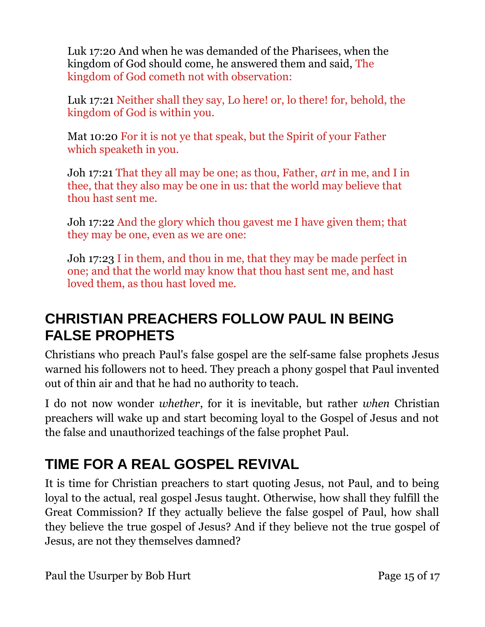Luk 17:20 And when he was demanded of the Pharisees, when the kingdom of God should come, he answered them and said, The kingdom of God cometh not with observation:

Luk 17:21 Neither shall they say, Lo here! or, lo there! for, behold, the kingdom of God is within you.

Mat 10:20 For it is not ye that speak, but the Spirit of your Father which speaketh in you.

Joh 17:21 That they all may be one; as thou, Father, *art* in me, and I in thee, that they also may be one in us: that the world may believe that thou hast sent me.

Joh 17:22 And the glory which thou gavest me I have given them; that they may be one, even as we are one:

Joh 17:23 I in them, and thou in me, that they may be made perfect in one; and that the world may know that thou hast sent me, and hast loved them, as thou hast loved me.

## <span id="page-14-1"></span>**CHRISTIAN PREACHERS FOLLOW PAUL IN BEING FALSE PROPHETS**

Christians who preach Paul's false gospel are the self-same false prophets Jesus warned his followers not to heed. They preach a phony gospel that Paul invented out of thin air and that he had no authority to teach.

I do not now wonder *whether*, for it is inevitable, but rather *when* Christian preachers will wake up and start becoming loyal to the Gospel of Jesus and not the false and unauthorized teachings of the false prophet Paul.

# <span id="page-14-0"></span>**TIME FOR A REAL GOSPEL REVIVAL**

It is time for Christian preachers to start quoting Jesus, not Paul, and to being loyal to the actual, real gospel Jesus taught. Otherwise, how shall they fulfill the Great Commission? If they actually believe the false gospel of Paul, how shall they believe the true gospel of Jesus? And if they believe not the true gospel of Jesus, are not they themselves damned?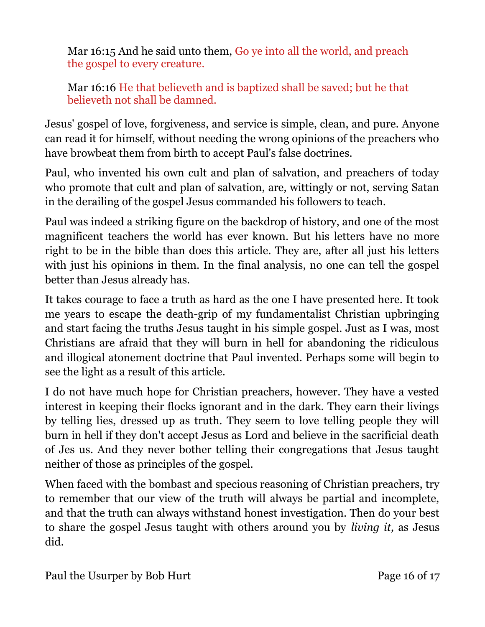Mar 16:15 And he said unto them, Go ye into all the world, and preach the gospel to every creature.

Mar 16:16 He that believeth and is baptized shall be saved; but he that believeth not shall be damned.

Jesus' gospel of love, forgiveness, and service is simple, clean, and pure. Anyone can read it for himself, without needing the wrong opinions of the preachers who have browbeat them from birth to accept Paul's false doctrines.

Paul, who invented his own cult and plan of salvation, and preachers of today who promote that cult and plan of salvation, are, wittingly or not, serving Satan in the derailing of the gospel Jesus commanded his followers to teach.

Paul was indeed a striking figure on the backdrop of history, and one of the most magnificent teachers the world has ever known. But his letters have no more right to be in the bible than does this article. They are, after all just his letters with just his opinions in them. In the final analysis, no one can tell the gospel better than Jesus already has.

It takes courage to face a truth as hard as the one I have presented here. It took me years to escape the death-grip of my fundamentalist Christian upbringing and start facing the truths Jesus taught in his simple gospel. Just as I was, most Christians are afraid that they will burn in hell for abandoning the ridiculous and illogical atonement doctrine that Paul invented. Perhaps some will begin to see the light as a result of this article.

I do not have much hope for Christian preachers, however. They have a vested interest in keeping their flocks ignorant and in the dark. They earn their livings by telling lies, dressed up as truth. They seem to love telling people they will burn in hell if they don't accept Jesus as Lord and believe in the sacrificial death of Jes us. And they never bother telling their congregations that Jesus taught neither of those as principles of the gospel.

When faced with the bombast and specious reasoning of Christian preachers, try to remember that our view of the truth will always be partial and incomplete, and that the truth can always withstand honest investigation. Then do your best to share the gospel Jesus taught with others around you by *living it,* as Jesus did.